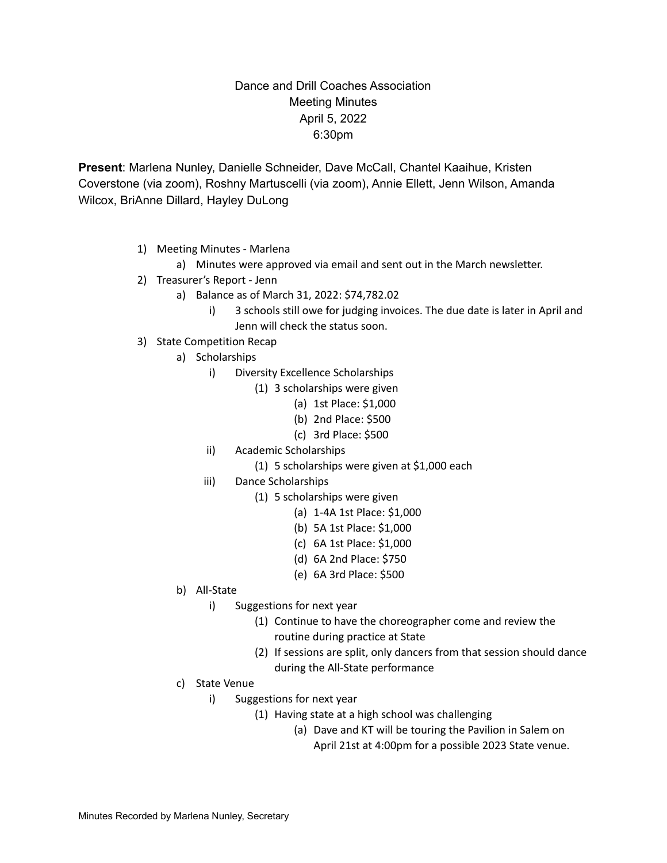## Dance and Drill Coaches Association Meeting Minutes April 5, 2022 6:30pm

**Present**: Marlena Nunley, Danielle Schneider, Dave McCall, Chantel Kaaihue, Kristen Coverstone (via zoom), Roshny Martuscelli (via zoom), Annie Ellett, Jenn Wilson, Amanda Wilcox, BriAnne Dillard, Hayley DuLong

- 1) Meeting Minutes Marlena
	- a) Minutes were approved via email and sent out in the March newsletter.
- 2) Treasurer's Report Jenn
	- a) Balance as of March 31, 2022: \$74,782.02
		- i) 3 schools still owe for judging invoices. The due date is later in April and Jenn will check the status soon.
- 3) State Competition Recap
	- a) Scholarships
		- i) Diversity Excellence Scholarships
			- (1) 3 scholarships were given
				- (a) 1st Place: \$1,000
				- (b) 2nd Place: \$500
				- (c) 3rd Place: \$500
		- ii) Academic Scholarships
			- (1) 5 scholarships were given at \$1,000 each
		- iii) Dance Scholarships
			- (1) 5 scholarships were given
				- (a) 1-4A 1st Place: \$1,000
				- (b) 5A 1st Place: \$1,000
				- (c) 6A 1st Place: \$1,000
				- (d) 6A 2nd Place: \$750
				- (e) 6A 3rd Place: \$500
	- b) All-State
		- i) Suggestions for next year
			- (1) Continue to have the choreographer come and review the routine during practice at State
			- (2) If sessions are split, only dancers from that session should dance during the All-State performance
	- c) State Venue
		- i) Suggestions for next year
			- (1) Having state at a high school was challenging
				- (a) Dave and KT will be touring the Pavilion in Salem on April 21st at 4:00pm for a possible 2023 State venue.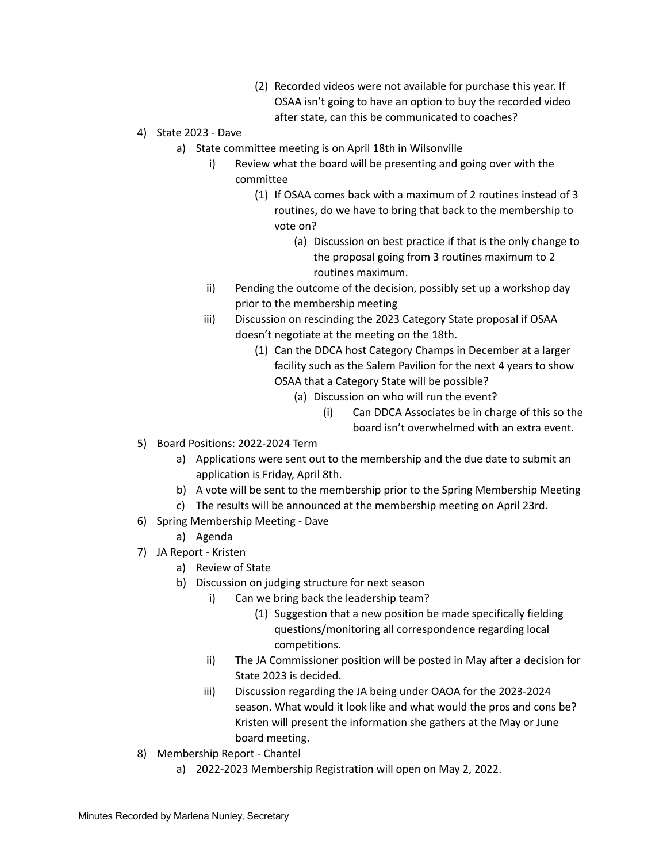- (2) Recorded videos were not available for purchase this year. If OSAA isn't going to have an option to buy the recorded video after state, can this be communicated to coaches?
- 4) State 2023 Dave
	- a) State committee meeting is on April 18th in Wilsonville
		- i) Review what the board will be presenting and going over with the committee
			- (1) If OSAA comes back with a maximum of 2 routines instead of 3 routines, do we have to bring that back to the membership to vote on?
				- (a) Discussion on best practice if that is the only change to the proposal going from 3 routines maximum to 2 routines maximum.
		- ii) Pending the outcome of the decision, possibly set up a workshop day prior to the membership meeting
		- iii) Discussion on rescinding the 2023 Category State proposal if OSAA doesn't negotiate at the meeting on the 18th.
			- (1) Can the DDCA host Category Champs in December at a larger facility such as the Salem Pavilion for the next 4 years to show OSAA that a Category State will be possible?
				- (a) Discussion on who will run the event?
					- (i) Can DDCA Associates be in charge of this so the board isn't overwhelmed with an extra event.
- 5) Board Positions: 2022-2024 Term
	- a) Applications were sent out to the membership and the due date to submit an application is Friday, April 8th.
	- b) A vote will be sent to the membership prior to the Spring Membership Meeting
	- c) The results will be announced at the membership meeting on April 23rd.
- 6) Spring Membership Meeting Dave
	- a) Agenda
- 7) JA Report Kristen
	- a) Review of State
	- b) Discussion on judging structure for next season
		- i) Can we bring back the leadership team?
			- (1) Suggestion that a new position be made specifically fielding questions/monitoring all correspondence regarding local competitions.
		- ii) The JA Commissioner position will be posted in May after a decision for State 2023 is decided.
		- iii) Discussion regarding the JA being under OAOA for the 2023-2024 season. What would it look like and what would the pros and cons be? Kristen will present the information she gathers at the May or June board meeting.
- 8) Membership Report Chantel
	- a) 2022-2023 Membership Registration will open on May 2, 2022.